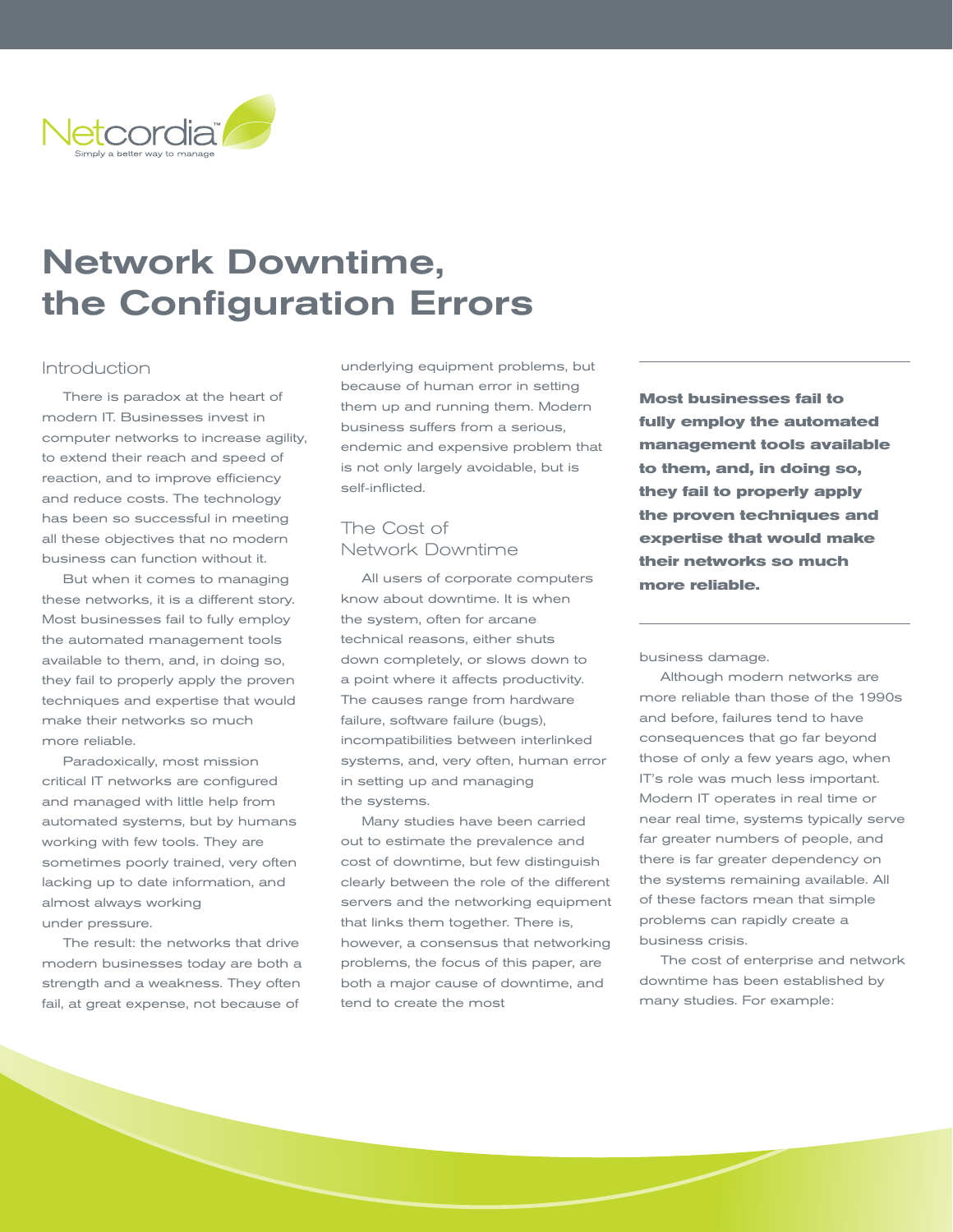

# Network Downtime, the Configuration Errors

#### Introduction

There is paradox at the heart of modern IT. Businesses invest in computer networks to increase agility, to extend their reach and speed of reaction, and to improve efficiency and reduce costs. The technology has been so successful in meeting all these objectives that no modern business can function without it.

But when it comes to managing these networks, it is a different story. Most businesses fail to fully employ the automated management tools available to them, and, in doing so, they fail to properly apply the proven techniques and expertise that would make their networks so much more reliable.

Paradoxically, most mission critical IT networks are configured and managed with little help from automated systems, but by humans working with few tools. They are sometimes poorly trained, very often lacking up to date information, and almost always working under pressure.

The result: the networks that drive modern businesses today are both a strength and a weakness. They often fail, at great expense, not because of

underlying equipment problems, but because of human error in setting them up and running them. Modern business suffers from a serious, endemic and expensive problem that is not only largely avoidable, but is self-inflicted.

## The Cost of Network Downtime

All users of corporate computers know about downtime. It is when the system, often for arcane technical reasons, either shuts down completely, or slows down to a point where it affects productivity. The causes range from hardware failure, software failure (bugs), incompatibilities between interlinked systems, and, very often, human error in setting up and managing the systems.

Many studies have been carried out to estimate the prevalence and cost of downtime, but few distinguish clearly between the role of the different servers and the networking equipment that links them together. There is, however, a consensus that networking problems, the focus of this paper, are both a major cause of downtime, and tend to create the most

**Most businesses fail to fully employ the automated management tools available to them, and, in doing so, they fail to properly apply the proven techniques and expertise that would make their networks so much more reliable.** 

business damage.

Although modern networks are more reliable than those of the 1990s and before, failures tend to have consequences that go far beyond those of only a few years ago, when IT's role was much less important. Modern IT operates in real time or near real time, systems typically serve far greater numbers of people, and there is far greater dependency on the systems remaining available. All of these factors mean that simple problems can rapidly create a business crisis.

The cost of enterprise and network downtime has been established by many studies. For example: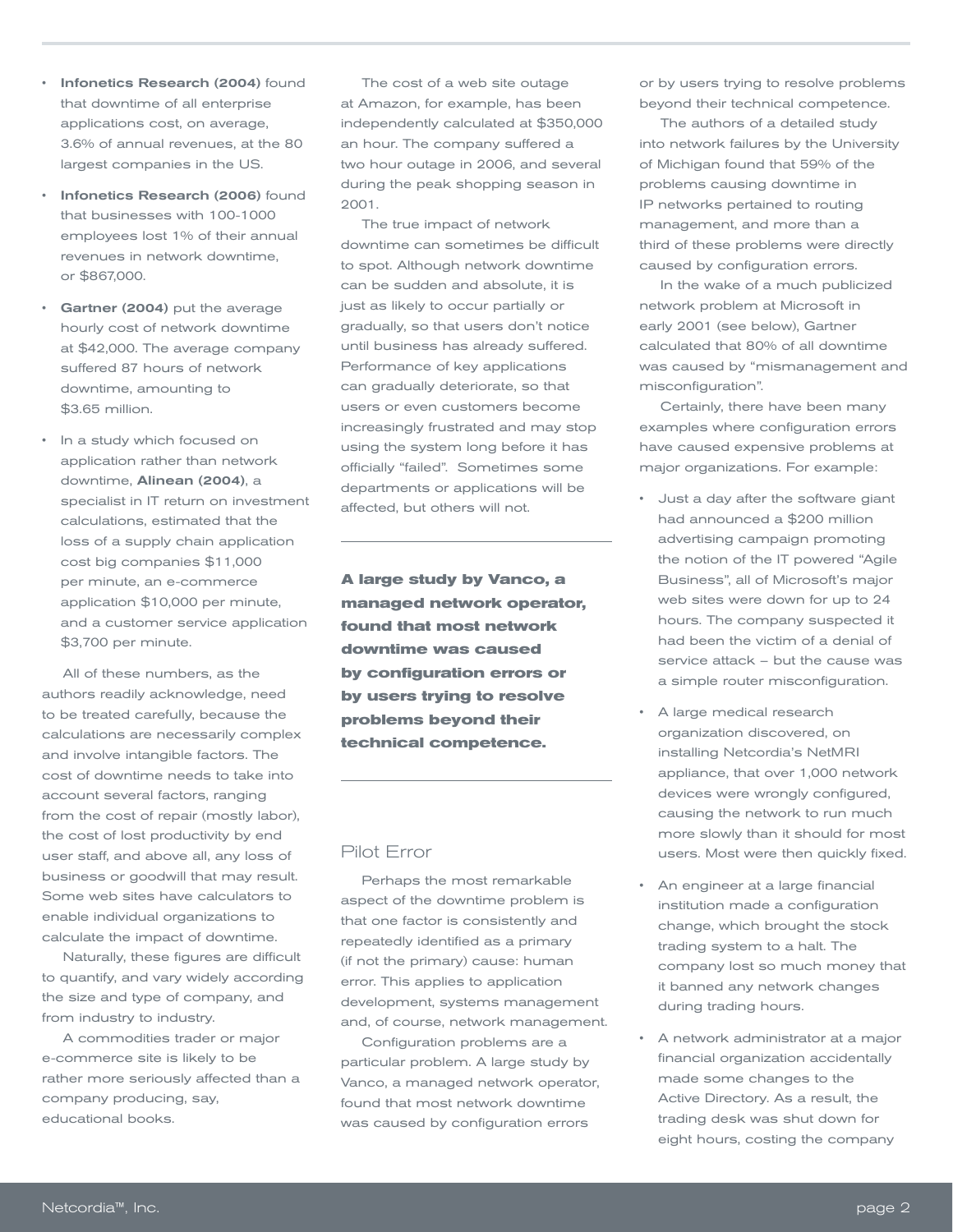- Infonetics Research (2004) found that downtime of all enterprise applications cost, on average, 3.6% of annual revenues, at the 80 largest companies in the US.
- Infonetics Research (2006) found that businesses with 100-1000 employees lost 1% of their annual revenues in network downtime, or \$867,000.
- Gartner (2004) put the average hourly cost of network downtime at \$42,000. The average company suffered 87 hours of network downtime, amounting to \$3.65 million.
- In a study which focused on application rather than network downtime, Alinean (2004), a specialist in IT return on investment calculations, estimated that the loss of a supply chain application cost big companies \$11,000 per minute, an e-commerce application \$10,000 per minute, and a customer service application \$3,700 per minute.

All of these numbers, as the authors readily acknowledge, need to be treated carefully, because the calculations are necessarily complex and involve intangible factors. The cost of downtime needs to take into account several factors, ranging from the cost of repair (mostly labor), the cost of lost productivity by end user staff, and above all, any loss of business or goodwill that may result. Some web sites have calculators to enable individual organizations to calculate the impact of downtime.

Naturally, these figures are difficult to quantify, and vary widely according the size and type of company, and from industry to industry.

A commodities trader or major e-commerce site is likely to be rather more seriously affected than a company producing, say, educational books.

The cost of a web site outage at Amazon, for example, has been independently calculated at \$350,000 an hour. The company suffered a two hour outage in 2006, and several during the peak shopping season in 2001.

The true impact of network downtime can sometimes be difficult to spot. Although network downtime can be sudden and absolute, it is just as likely to occur partially or gradually, so that users don't notice until business has already suffered. Performance of key applications can gradually deteriorate, so that users or even customers become increasingly frustrated and may stop using the system long before it has officially "failed". Sometimes some departments or applications will be affected, but others will not.

**A large study by Vanco, a managed network operator, found that most network downtime was caused by configuration errors or by users trying to resolve problems beyond their technical competence.**

#### Pilot Error

Perhaps the most remarkable aspect of the downtime problem is that one factor is consistently and repeatedly identified as a primary (if not the primary) cause: human error. This applies to application development, systems management and, of course, network management.

Configuration problems are a particular problem. A large study by Vanco, a managed network operator, found that most network downtime was caused by configuration errors

or by users trying to resolve problems beyond their technical competence.

The authors of a detailed study into network failures by the University of Michigan found that 59% of the problems causing downtime in IP networks pertained to routing management, and more than a third of these problems were directly caused by configuration errors.

In the wake of a much publicized network problem at Microsoft in early 2001 (see below), Gartner calculated that 80% of all downtime was caused by "mismanagement and misconfiguration".

Certainly, there have been many examples where configuration errors have caused expensive problems at major organizations. For example:

- Just a day after the software giant had announced a \$200 million advertising campaign promoting the notion of the IT powered "Agile Business", all of Microsoft's major web sites were down for up to 24 hours. The company suspected it had been the victim of a denial of service attack – but the cause was a simple router misconfiguration.
- A large medical research organization discovered, on installing Netcordia's NetMRI appliance, that over 1,000 network devices were wrongly configured, causing the network to run much more slowly than it should for most users. Most were then quickly fixed.
- An engineer at a large financial institution made a configuration change, which brought the stock trading system to a halt. The company lost so much money that it banned any network changes during trading hours.
- A network administrator at a major financial organization accidentally made some changes to the Active Directory. As a result, the trading desk was shut down for eight hours, costing the company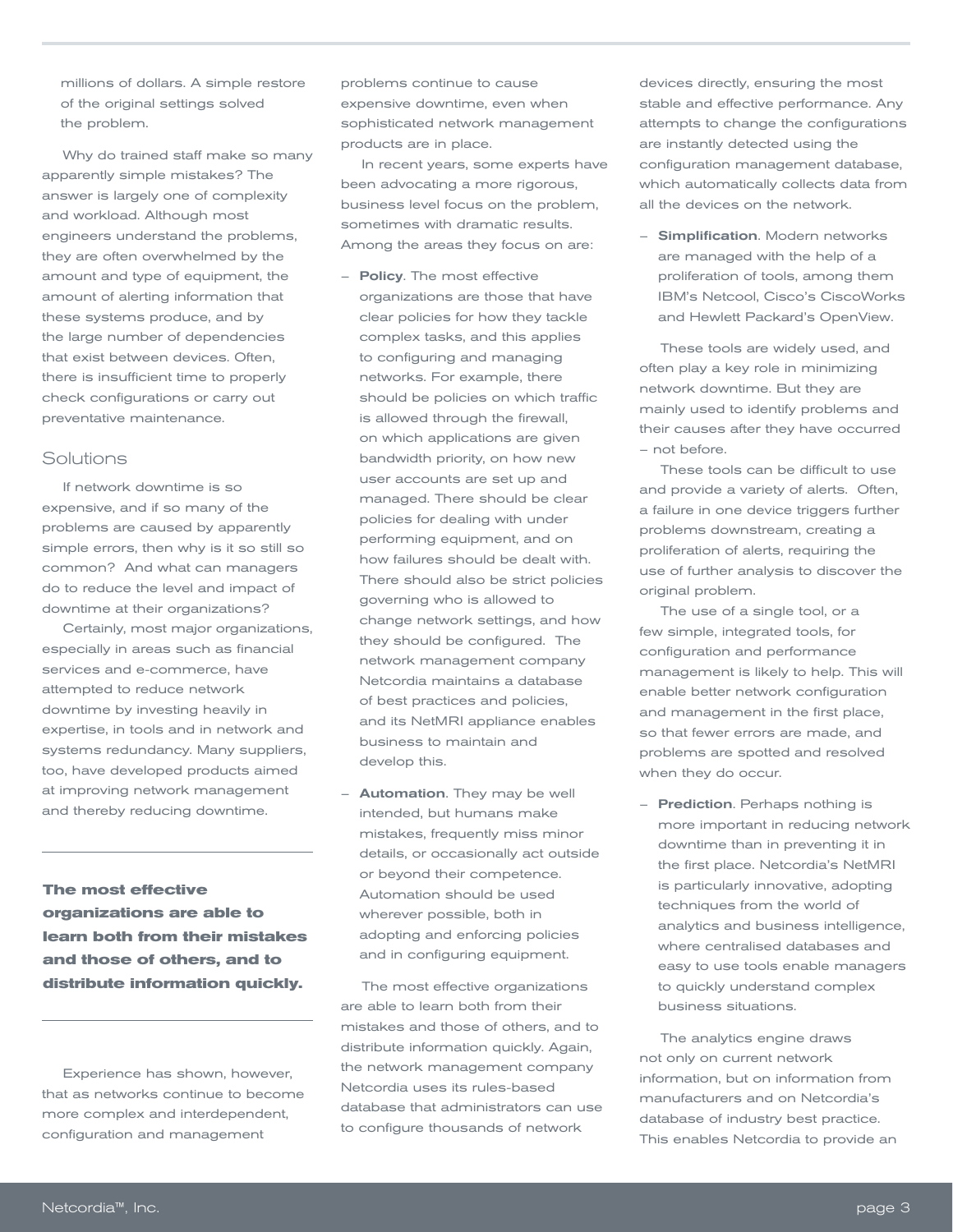millions of dollars. A simple restore of the original settings solved the problem.

Why do trained staff make so many apparently simple mistakes? The answer is largely one of complexity and workload. Although most engineers understand the problems, they are often overwhelmed by the amount and type of equipment, the amount of alerting information that these systems produce, and by the large number of dependencies that exist between devices. Often, there is insufficient time to properly check configurations or carry out preventative maintenance.

#### Solutions

If network downtime is so expensive, and if so many of the problems are caused by apparently simple errors, then why is it so still so common? And what can managers do to reduce the level and impact of downtime at their organizations?

Certainly, most major organizations, especially in areas such as financial services and e-commerce, have attempted to reduce network downtime by investing heavily in expertise, in tools and in network and systems redundancy. Many suppliers, too, have developed products aimed at improving network management and thereby reducing downtime.

**The most effective organizations are able to learn both from their mistakes and those of others, and to distribute information quickly.**

Experience has shown, however, that as networks continue to become more complex and interdependent, configuration and management

problems continue to cause expensive downtime, even when sophisticated network management products are in place.

In recent years, some experts have been advocating a more rigorous, business level focus on the problem, sometimes with dramatic results. Among the areas they focus on are:

- Policy. The most effective organizations are those that have clear policies for how they tackle complex tasks, and this applies to configuring and managing networks. For example, there should be policies on which traffic is allowed through the firewall, on which applications are given bandwidth priority, on how new user accounts are set up and managed. There should be clear policies for dealing with under performing equipment, and on how failures should be dealt with. There should also be strict policies governing who is allowed to change network settings, and how they should be configured. The network management company Netcordia maintains a database of best practices and policies, and its NetMRI appliance enables business to maintain and develop this.
- **Automation**. They may be well intended, but humans make mistakes, frequently miss minor details, or occasionally act outside or beyond their competence. Automation should be used wherever possible, both in adopting and enforcing policies and in configuring equipment.

The most effective organizations are able to learn both from their mistakes and those of others, and to distribute information quickly. Again, the network management company Netcordia uses its rules-based database that administrators can use to configure thousands of network

devices directly, ensuring the most stable and effective performance. Any attempts to change the configurations are instantly detected using the configuration management database, which automatically collects data from all the devices on the network.

– Simplification. Modern networks are managed with the help of a proliferation of tools, among them IBM's Netcool, Cisco's CiscoWorks and Hewlett Packard's OpenView.

These tools are widely used, and often play a key role in minimizing network downtime. But they are mainly used to identify problems and their causes after they have occurred – not before.

These tools can be difficult to use and provide a variety of alerts. Often, a failure in one device triggers further problems downstream, creating a proliferation of alerts, requiring the use of further analysis to discover the original problem.

The use of a single tool, or a few simple, integrated tools, for configuration and performance management is likely to help. This will enable better network configuration and management in the first place, so that fewer errors are made, and problems are spotted and resolved when they do occur.

– Prediction. Perhaps nothing is more important in reducing network downtime than in preventing it in the first place. Netcordia's NetMRI is particularly innovative, adopting techniques from the world of analytics and business intelligence, where centralised databases and easy to use tools enable managers to quickly understand complex business situations.

The analytics engine draws not only on current network information, but on information from manufacturers and on Netcordia's database of industry best practice. This enables Netcordia to provide an